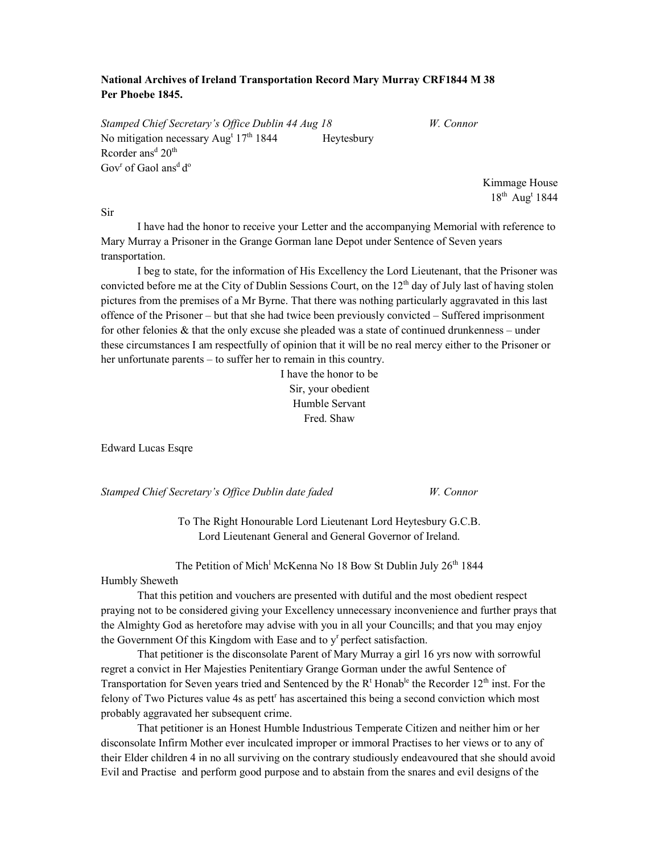## National Archives of Ireland Transportation Record Mary Murray CRF1844 M 38 Per Phoebe 1845.

Stamped Chief Secretary's Office Dublin 44 Aug 18 W. Connor No mitigation necessary Aug<sup>t</sup> 17<sup>th</sup> 1844 Heytesbury Rcorder ans<sup>d</sup> 20<sup>th</sup> Gov<sup>r</sup> of Gaol ans<sup>d</sup> d<sup>o</sup>

> Kimmage House  $18^{th}$  Aug<sup>t</sup> 1844

Sir

 I have had the honor to receive your Letter and the accompanying Memorial with reference to Mary Murray a Prisoner in the Grange Gorman lane Depot under Sentence of Seven years transportation.

 I beg to state, for the information of His Excellency the Lord Lieutenant, that the Prisoner was convicted before me at the City of Dublin Sessions Court, on the  $12<sup>th</sup>$  day of July last of having stolen pictures from the premises of a Mr Byrne. That there was nothing particularly aggravated in this last offence of the Prisoner – but that she had twice been previously convicted – Suffered imprisonment for other felonies & that the only excuse she pleaded was a state of continued drunkenness – under these circumstances I am respectfully of opinion that it will be no real mercy either to the Prisoner or her unfortunate parents – to suffer her to remain in this country.

> I have the honor to be Sir, your obedient Humble Servant Fred. Shaw

Edward Lucas Esqre

Stamped Chief Secretary's Office Dublin date faded W. Connor

To The Right Honourable Lord Lieutenant Lord Heytesbury G.C.B. Lord Lieutenant General and General Governor of Ireland.

The Petition of Mich<sup>1</sup> McKenna No 18 Bow St Dublin July 26<sup>th</sup> 1844

## Humbly Sheweth

 That this petition and vouchers are presented with dutiful and the most obedient respect praying not to be considered giving your Excellency unnecessary inconvenience and further prays that the Almighty God as heretofore may advise with you in all your Councills; and that you may enjoy the Government Of this Kingdom with Ease and to  $y<sup>r</sup>$  perfect satisfaction.

 That petitioner is the disconsolate Parent of Mary Murray a girl 16 yrs now with sorrowful regret a convict in Her Majesties Penitentiary Grange Gorman under the awful Sentence of Transportation for Seven years tried and Sentenced by the R<sup>t</sup> Honab<sup>le</sup> the Recorder 12<sup>th</sup> inst. For the felony of Two Pictures value 4s as pett<sup>r</sup> has ascertained this being a second conviction which most probably aggravated her subsequent crime.

 That petitioner is an Honest Humble Industrious Temperate Citizen and neither him or her disconsolate Infirm Mother ever inculcated improper or immoral Practises to her views or to any of their Elder children 4 in no all surviving on the contrary studiously endeavoured that she should avoid Evil and Practise and perform good purpose and to abstain from the snares and evil designs of the